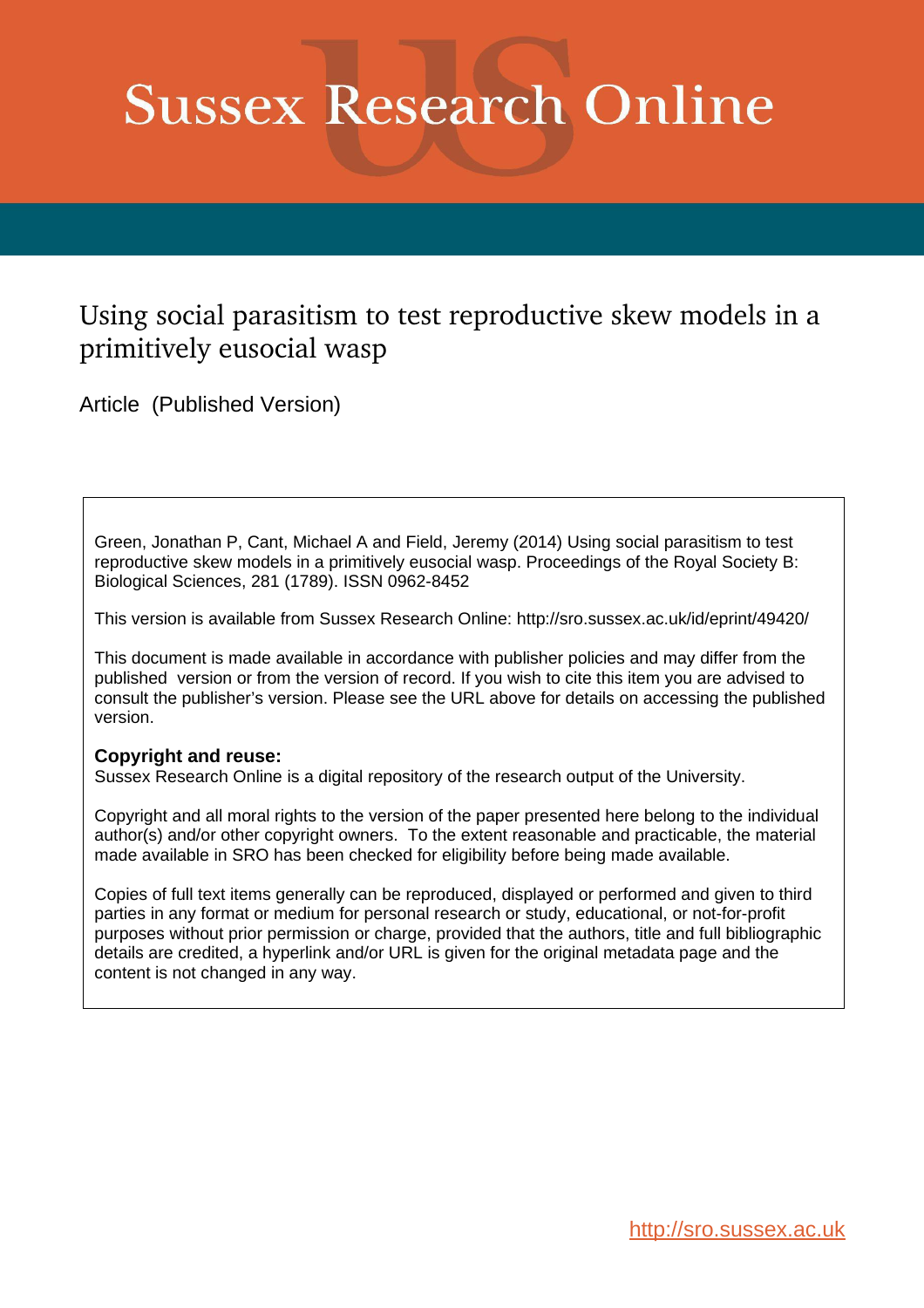# **Sussex Research Online**

# Using social parasitism to test reproductive skew models in a primitively eusocial wasp

Article (Published Version)

Green, Jonathan P, Cant, Michael A and Field, Jeremy (2014) Using social parasitism to test reproductive skew models in a primitively eusocial wasp. Proceedings of the Royal Society B: Biological Sciences, 281 (1789). ISSN 0962-8452

This version is available from Sussex Research Online: http://sro.sussex.ac.uk/id/eprint/49420/

This document is made available in accordance with publisher policies and may differ from the published version or from the version of record. If you wish to cite this item you are advised to consult the publisher's version. Please see the URL above for details on accessing the published version.

# **Copyright and reuse:**

Sussex Research Online is a digital repository of the research output of the University.

Copyright and all moral rights to the version of the paper presented here belong to the individual author(s) and/or other copyright owners. To the extent reasonable and practicable, the material made available in SRO has been checked for eligibility before being made available.

Copies of full text items generally can be reproduced, displayed or performed and given to third parties in any format or medium for personal research or study, educational, or not-for-profit purposes without prior permission or charge, provided that the authors, title and full bibliographic details are credited, a hyperlink and/or URL is given for the original metadata page and the content is not changed in any way.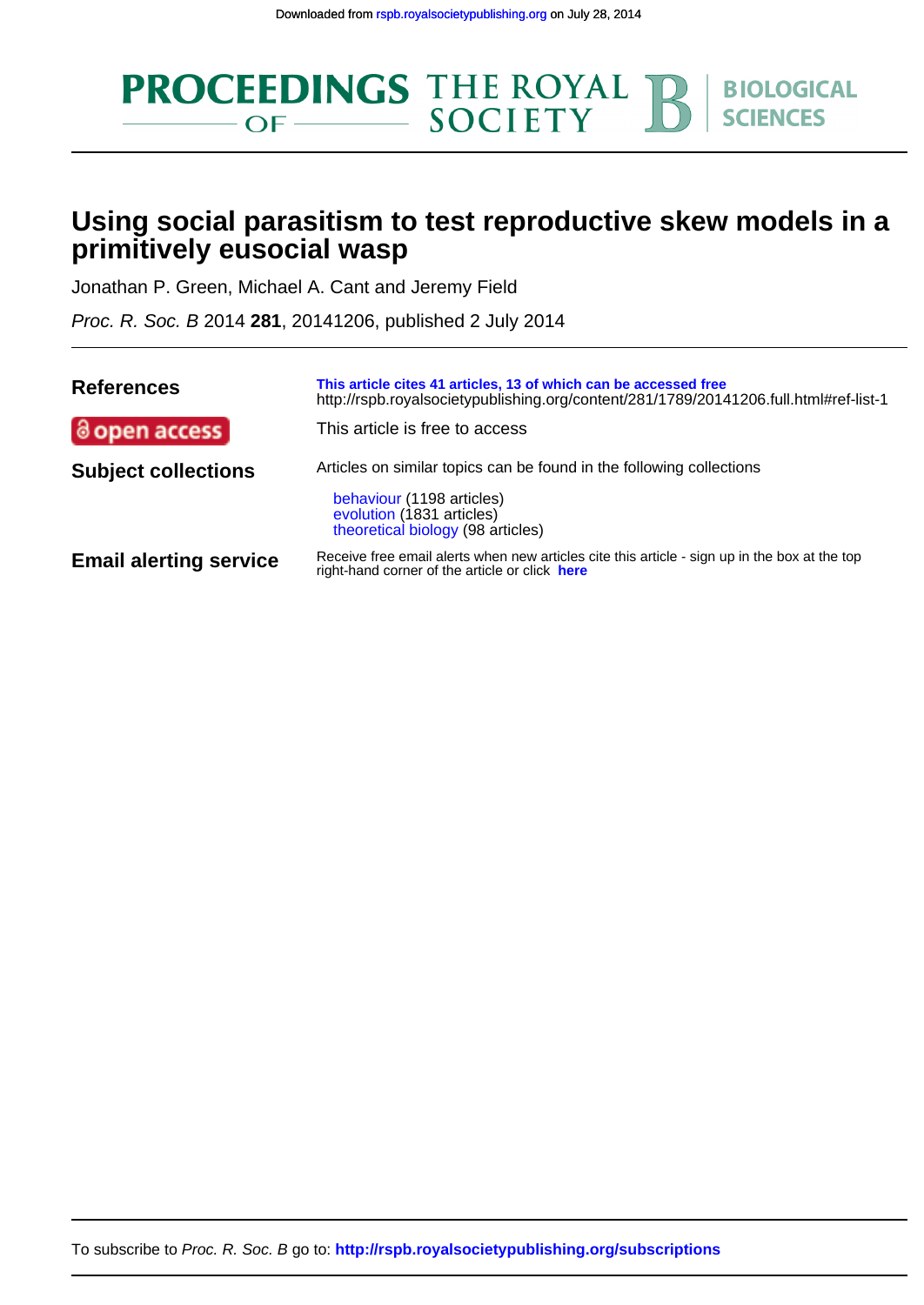

# **primitively eusocial wasp Using social parasitism to test reproductive skew models in a**

Jonathan P. Green, Michael A. Cant and Jeremy Field

Proc. R. Soc. B 2014 **281**, 20141206, published 2 July 2014

| <b>References</b>             | This article cites 41 articles, 13 of which can be accessed free<br>http://rspb.royalsocietypublishing.org/content/281/1789/20141206.full.html#ref-list-1 |  |  |
|-------------------------------|-----------------------------------------------------------------------------------------------------------------------------------------------------------|--|--|
| @open access                  | This article is free to access                                                                                                                            |  |  |
| <b>Subject collections</b>    | Articles on similar topics can be found in the following collections<br>behaviour (1198 articles)                                                         |  |  |
|                               | evolution (1831 articles)<br>theoretical biology (98 articles)                                                                                            |  |  |
| <b>Email alerting service</b> | Receive free email alerts when new articles cite this article - sign up in the box at the top<br>right-hand corner of the article or click here           |  |  |

To subscribe to Proc. R. Soc. B go to: **<http://rspb.royalsocietypublishing.org/subscriptions>**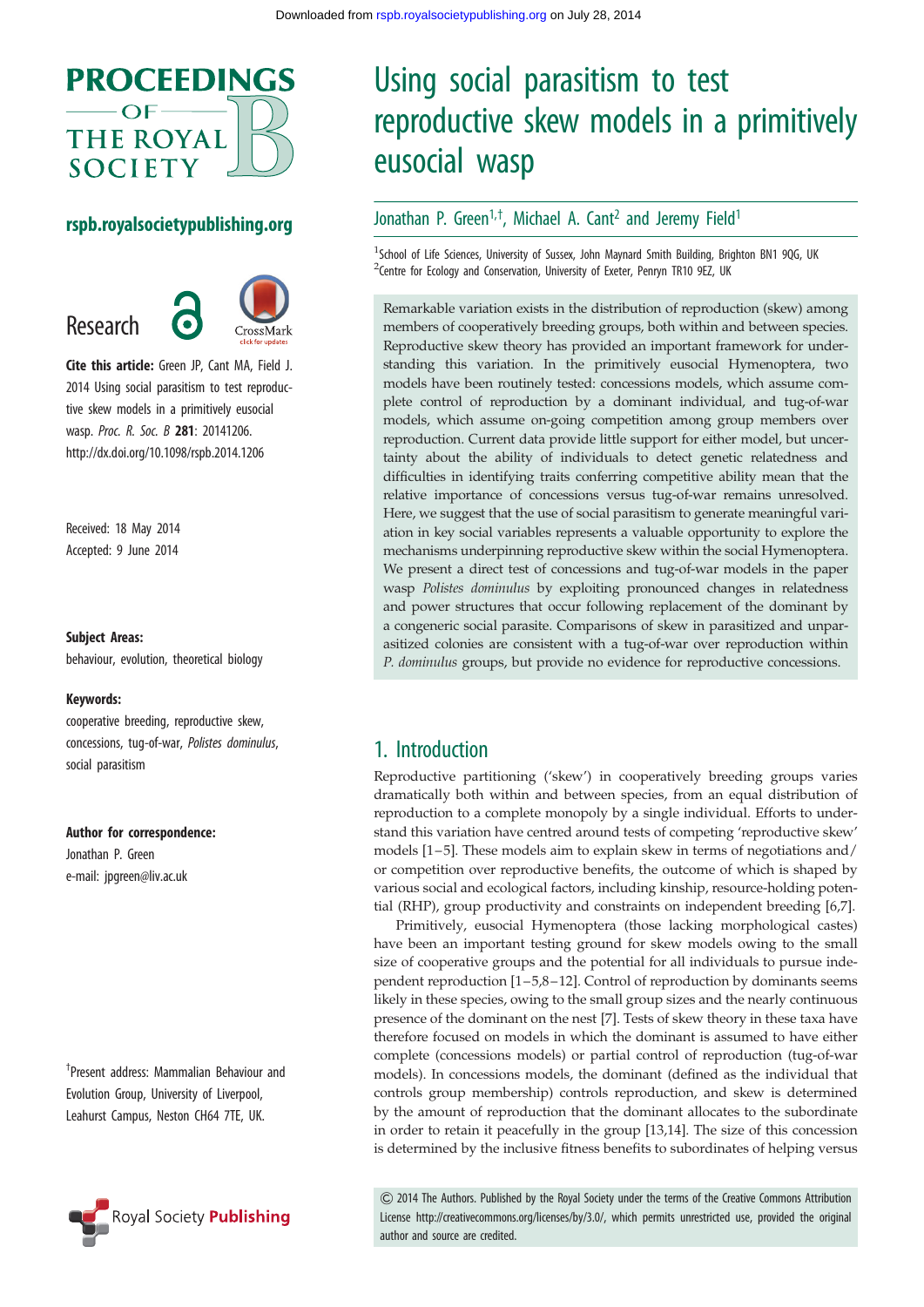

### rspb.royalsocietypublishing.org

Research

Cite this article: Green JP, Cant MA, Field J. 2014 Using social parasitism to test reproductive skew models in a primitively eusocial wasp. Proc. R. Soc. B 281: 20141206. http://dx.doi.org/10.1098/rspb.2014.1206

Received: 18 May 2014 Accepted: 9 June 2014

#### Subject Areas:

behaviour, evolution, theoretical biology

#### Keywords:

cooperative breeding, reproductive skew, concessions, tug-of-war, Polistes dominulus, social parasitism

#### Author for correspondence:

Jonathan P. Green e-mail: [jpgreen@liv.ac.uk](mailto:jpgreen@liv.ac.uk)

† Present address: Mammalian Behaviour and Evolution Group, University of Liverpool, Leahurst Campus, Neston CH64 7TE, UK.



# Using social parasitism to test reproductive skew models in a primitively eusocial wasp

# Jonathan P. Green<sup>1,†</sup>, Michael A. Cant<sup>2</sup> and Jeremy Field<sup>1</sup>

<sup>1</sup>School of Life Sciences, University of Sussex, John Maynard Smith Building, Brighton BN1 9QG, UK <sup>2</sup> Centre for Ecology and Conservation, University of Exeter, Penryn TR10 9EZ, UK

Remarkable variation exists in the distribution of reproduction (skew) among members of cooperatively breeding groups, both within and between species. Reproductive skew theory has provided an important framework for understanding this variation. In the primitively eusocial Hymenoptera, two models have been routinely tested: concessions models, which assume complete control of reproduction by a dominant individual, and tug-of-war models, which assume on-going competition among group members over reproduction. Current data provide little support for either model, but uncertainty about the ability of individuals to detect genetic relatedness and difficulties in identifying traits conferring competitive ability mean that the relative importance of concessions versus tug-of-war remains unresolved. Here, we suggest that the use of social parasitism to generate meaningful variation in key social variables represents a valuable opportunity to explore the mechanisms underpinning reproductive skew within the social Hymenoptera. We present a direct test of concessions and tug-of-war models in the paper wasp Polistes dominulus by exploiting pronounced changes in relatedness and power structures that occur following replacement of the dominant by a congeneric social parasite. Comparisons of skew in parasitized and unparasitized colonies are consistent with a tug-of-war over reproduction within P. dominulus groups, but provide no evidence for reproductive concessions.

# 1. Introduction

Reproductive partitioning ('skew') in cooperatively breeding groups varies dramatically both within and between species, from an equal distribution of reproduction to a complete monopoly by a single individual. Efforts to understand this variation have centred around tests of competing 'reproductive skew' models [\[1](#page-7-0)–[5](#page-7-0)]. These models aim to explain skew in terms of negotiations and/ or competition over reproductive benefits, the outcome of which is shaped by various social and ecological factors, including kinship, resource-holding potential (RHP), group productivity and constraints on independent breeding [[6](#page-7-0),[7](#page-7-0)].

Primitively, eusocial Hymenoptera (those lacking morphological castes) have been an important testing ground for skew models owing to the small size of cooperative groups and the potential for all individuals to pursue independent reproduction [[1](#page-7-0)–[5](#page-7-0),[8](#page-7-0)–[12](#page-7-0)]. Control of reproduction by dominants seems likely in these species, owing to the small group sizes and the nearly continuous presence of the dominant on the nest [\[7\]](#page-7-0). Tests of skew theory in these taxa have therefore focused on models in which the dominant is assumed to have either complete (concessions models) or partial control of reproduction (tug-of-war models). In concessions models, the dominant (defined as the individual that controls group membership) controls reproduction, and skew is determined by the amount of reproduction that the dominant allocates to the subordinate in order to retain it peacefully in the group [[13,14](#page-7-0)]. The size of this concession is determined by the inclusive fitness benefits to subordinates of helping versus

& 2014 The Authors. Published by the Royal Society under the terms of the Creative Commons Attribution License http://creativecommons.org/licenses/by/3.0/, which permits unrestricted use, provided the original author and source are credited.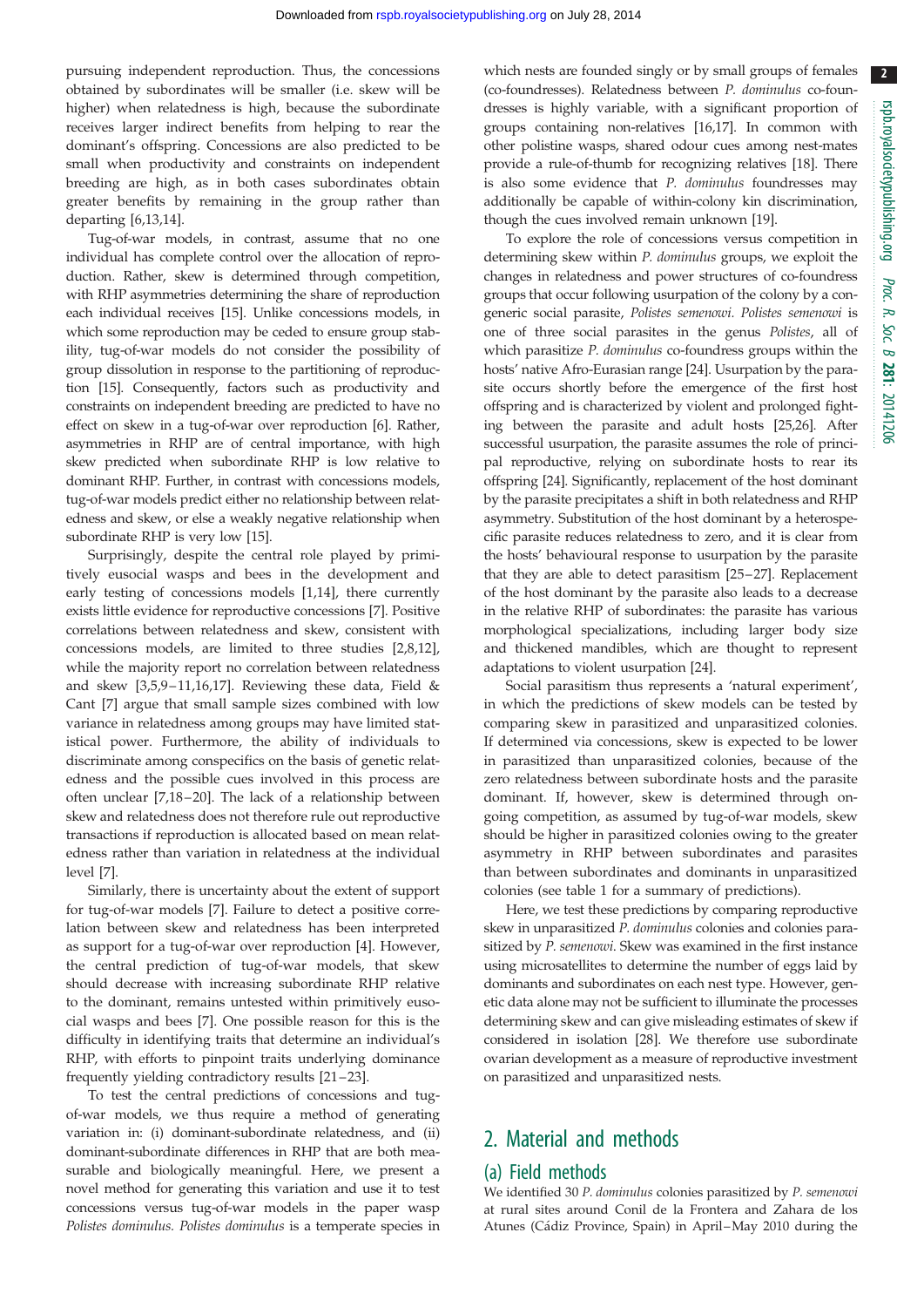2

pursuing independent reproduction. Thus, the concessions obtained by subordinates will be smaller (i.e. skew will be higher) when relatedness is high, because the subordinate receives larger indirect benefits from helping to rear the dominant's offspring. Concessions are also predicted to be small when productivity and constraints on independent breeding are high, as in both cases subordinates obtain greater benefits by remaining in the group rather than departing [[6](#page-7-0),[13,14\]](#page-7-0).

Tug-of-war models, in contrast, assume that no one individual has complete control over the allocation of reproduction. Rather, skew is determined through competition, with RHP asymmetries determining the share of reproduction each individual receives [\[15\]](#page-7-0). Unlike concessions models, in which some reproduction may be ceded to ensure group stability, tug-of-war models do not consider the possibility of group dissolution in response to the partitioning of reproduction [\[15\]](#page-7-0). Consequently, factors such as productivity and constraints on independent breeding are predicted to have no effect on skew in a tug-of-war over reproduction [\[6](#page-7-0)]. Rather, asymmetries in RHP are of central importance, with high skew predicted when subordinate RHP is low relative to dominant RHP. Further, in contrast with concessions models, tug-of-war models predict either no relationship between relatedness and skew, or else a weakly negative relationship when subordinate RHP is very low [[15\]](#page-7-0).

Surprisingly, despite the central role played by primitively eusocial wasps and bees in the development and early testing of concessions models [\[1,14](#page-7-0)], there currently exists little evidence for reproductive concessions [[7](#page-7-0)]. Positive correlations between relatedness and skew, consistent with concessions models, are limited to three studies [[2](#page-7-0),[8,12](#page-7-0)], while the majority report no correlation between relatedness and skew [\[3,5](#page-7-0),[9](#page-7-0)–[11,16,17](#page-7-0)]. Reviewing these data, Field & Cant [[7](#page-7-0)] argue that small sample sizes combined with low variance in relatedness among groups may have limited statistical power. Furthermore, the ability of individuals to discriminate among conspecifics on the basis of genetic relatedness and the possible cues involved in this process are often unclear [\[7,18](#page-7-0) –[20](#page-7-0)]. The lack of a relationship between skew and relatedness does not therefore rule out reproductive transactions if reproduction is allocated based on mean relatedness rather than variation in relatedness at the individual level [[7](#page-7-0)].

Similarly, there is uncertainty about the extent of support for tug-of-war models [\[7\]](#page-7-0). Failure to detect a positive correlation between skew and relatedness has been interpreted as support for a tug-of-war over reproduction [\[4\]](#page-7-0). However, the central prediction of tug-of-war models, that skew should decrease with increasing subordinate RHP relative to the dominant, remains untested within primitively eusocial wasps and bees [\[7\]](#page-7-0). One possible reason for this is the difficulty in identifying traits that determine an individual's RHP, with efforts to pinpoint traits underlying dominance frequently yielding contradictory results [[21](#page-7-0) –[23](#page-7-0)].

To test the central predictions of concessions and tugof-war models, we thus require a method of generating variation in: (i) dominant-subordinate relatedness, and (ii) dominant-subordinate differences in RHP that are both measurable and biologically meaningful. Here, we present a novel method for generating this variation and use it to test concessions versus tug-of-war models in the paper wasp Polistes dominulus. Polistes dominulus is a temperate species in which nests are founded singly or by small groups of females (co-foundresses). Relatedness between P. dominulus co-foundresses is highly variable, with a significant proportion of groups containing non-relatives [\[16,17\]](#page-7-0). In common with other polistine wasps, shared odour cues among nest-mates provide a rule-of-thumb for recognizing relatives [\[18](#page-7-0)]. There is also some evidence that P. dominulus foundresses may additionally be capable of within-colony kin discrimination, though the cues involved remain unknown [\[19](#page-7-0)].

To explore the role of concessions versus competition in determining skew within P. dominulus groups, we exploit the changes in relatedness and power structures of co-foundress groups that occur following usurpation of the colony by a congeneric social parasite, Polistes semenowi. Polistes semenowi is one of three social parasites in the genus Polistes, all of which parasitize P. dominulus co-foundress groups within the hosts' native Afro-Eurasian range [[24\]](#page-7-0). Usurpation by the parasite occurs shortly before the emergence of the first host offspring and is characterized by violent and prolonged fighting between the parasite and adult hosts [[25,26](#page-7-0)]. After successful usurpation, the parasite assumes the role of principal reproductive, relying on subordinate hosts to rear its offspring [\[24](#page-7-0)]. Significantly, replacement of the host dominant by the parasite precipitates a shift in both relatedness and RHP asymmetry. Substitution of the host dominant by a heterospecific parasite reduces relatedness to zero, and it is clear from the hosts' behavioural response to usurpation by the parasite that they are able to detect parasitism [[25](#page-7-0)–[27](#page-7-0)]. Replacement of the host dominant by the parasite also leads to a decrease in the relative RHP of subordinates: the parasite has various morphological specializations, including larger body size and thickened mandibles, which are thought to represent adaptations to violent usurpation [[24\]](#page-7-0).

Social parasitism thus represents a 'natural experiment', in which the predictions of skew models can be tested by comparing skew in parasitized and unparasitized colonies. If determined via concessions, skew is expected to be lower in parasitized than unparasitized colonies, because of the zero relatedness between subordinate hosts and the parasite dominant. If, however, skew is determined through ongoing competition, as assumed by tug-of-war models, skew should be higher in parasitized colonies owing to the greater asymmetry in RHP between subordinates and parasites than between subordinates and dominants in unparasitized colonies (see [table 1](#page-4-0) for a summary of predictions).

Here, we test these predictions by comparing reproductive skew in unparasitized P. dominulus colonies and colonies parasitized by P. semenowi. Skew was examined in the first instance using microsatellites to determine the number of eggs laid by dominants and subordinates on each nest type. However, genetic data alone may not be sufficient to illuminate the processes determining skew and can give misleading estimates of skew if considered in isolation [\[28](#page-7-0)]. We therefore use subordinate ovarian development as a measure of reproductive investment on parasitized and unparasitized nests.

# 2. Material and methods

### (a) Field methods

We identified 30 P. dominulus colonies parasitized by P. semenowi at rural sites around Conil de la Frontera and Zahara de los Atunes (Cádiz Province, Spain) in April–May 2010 during the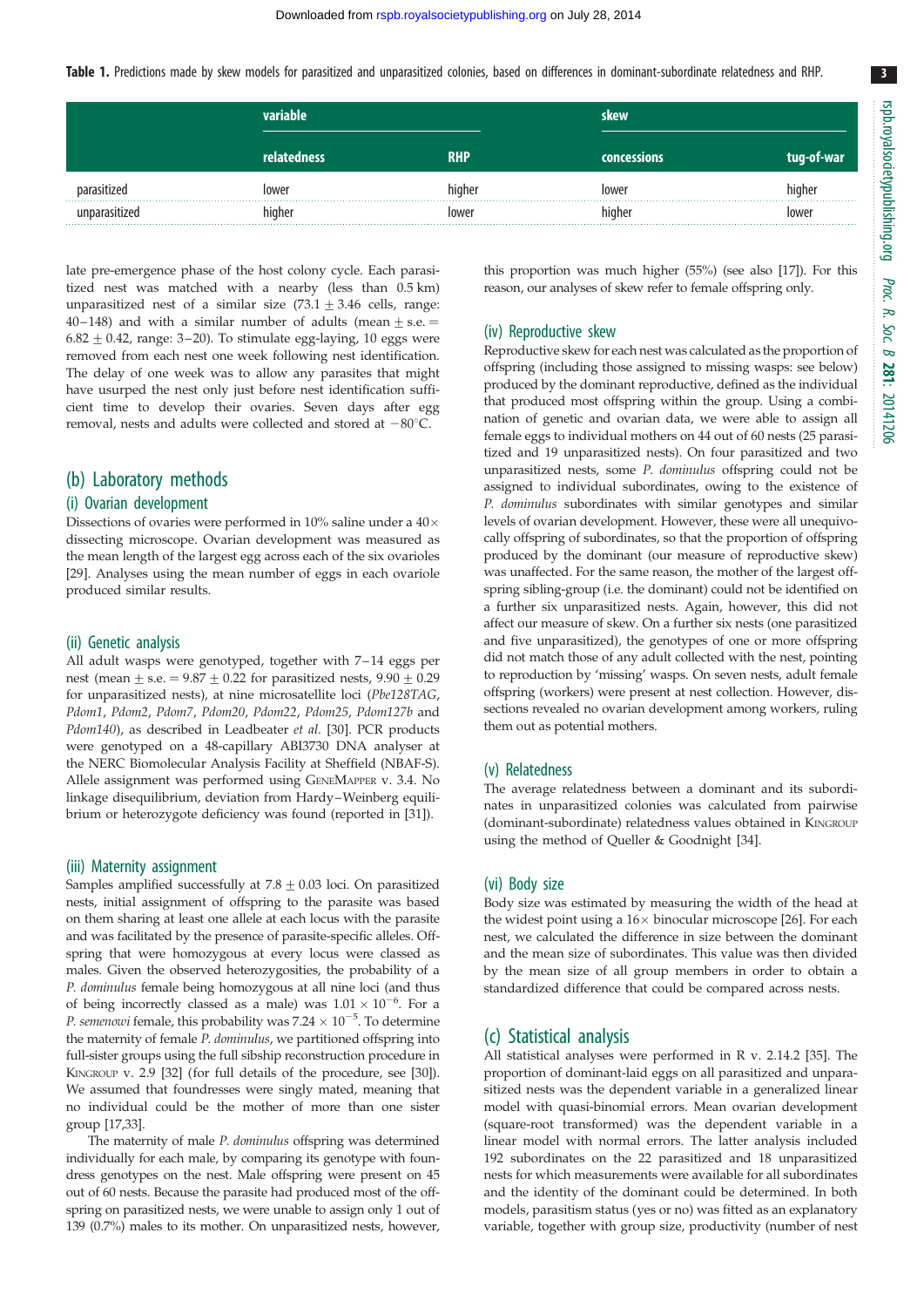<span id="page-4-0"></span>Table 1. Predictions made by skew models for parasitized and unparasitized colonies, based on differences in dominant-subordinate relatedness and RHP.

|            | variable    |             |                      | skew   |  |
|------------|-------------|-------------|----------------------|--------|--|
|            | relatedness |             | concessions <b>\</b> |        |  |
| ای sitized | lower       | higher      | lower                | nigher |  |
|            | hiaher      | <b>OWAr</b> | niaher               | ower   |  |

late pre-emergence phase of the host colony cycle. Each parasitized nest was matched with a nearby (less than 0.5 km) unparasitized nest of a similar size  $(73.1 \pm 3.46$  cells, range: 40-148) and with a similar number of adults (mean  $\pm$  s.e.  $=$  $6.82 \pm 0.42$ , range: 3-20). To stimulate egg-laying, 10 eggs were removed from each nest one week following nest identification. The delay of one week was to allow any parasites that might have usurped the nest only just before nest identification sufficient time to develop their ovaries. Seven days after egg removal, nests and adults were collected and stored at  $-80^{\circ}$ C.

#### (b) Laboratory methods

#### (i) Ovarian development

Dissections of ovaries were performed in 10% saline under a 40 $\times$ dissecting microscope. Ovarian development was measured as the mean length of the largest egg across each of the six ovarioles [\[29\]](#page-7-0). Analyses using the mean number of eggs in each ovariole produced similar results.

#### (ii) Genetic analysis

All adult wasps were genotyped, together with 7-14 eggs per nest (mean  $\pm$  s.e. = 9.87  $\pm$  0.22 for parasitized nests, 9.90  $\pm$  0.29 for unparasitized nests), at nine microsatellite loci (Pbe128TAG, Pdom1, Pdom2, Pdom7, Pdom20, Pdom22, Pdom25, Pdom127b and Pdom140), as described in Leadbeater et al. [\[30\]](#page-7-0). PCR products were genotyped on a 48-capillary ABI3730 DNA analyser at the NERC Biomolecular Analysis Facility at Sheffield (NBAF-S). Allele assignment was performed using GENEMAPPER v. 3.4. No linkage disequilibrium, deviation from Hardy–Weinberg equilibrium or heterozygote deficiency was found (reported in [\[31\]](#page-7-0)).

#### (iii) Maternity assignment

Samples amplified successfully at  $7.8 \pm 0.03$  loci. On parasitized nests, initial assignment of offspring to the parasite was based on them sharing at least one allele at each locus with the parasite and was facilitated by the presence of parasite-specific alleles. Offspring that were homozygous at every locus were classed as males. Given the observed heterozygosities, the probability of a P. dominulus female being homozygous at all nine loci (and thus of being incorrectly classed as a male) was  $1.01 \times 10^{-6}$ . For a P. semenowi female, this probability was  $7.24 \times 10^{-5}$ . To determine the maternity of female P. dominulus, we partitioned offspring into full-sister groups using the full sibship reconstruction procedure in KINGROUP v. 2.9 [[32\]](#page-7-0) (for full details of the procedure, see [[30](#page-7-0)]). We assumed that foundresses were singly mated, meaning that no individual could be the mother of more than one sister group [\[17,33\]](#page-7-0).

The maternity of male P. dominulus offspring was determined individually for each male, by comparing its genotype with foundress genotypes on the nest. Male offspring were present on 45 out of 60 nests. Because the parasite had produced most of the offspring on parasitized nests, we were unable to assign only 1 out of 139 (0.7%) males to its mother. On unparasitized nests, however,

this proportion was much higher (55%) (see also [\[17\]](#page-7-0)). For this reason, our analyses of skew refer to female offspring only.

#### (iv) Reproductive skew

Reproductive skew for each nest was calculated as the proportion of offspring (including those assigned to missing wasps: see below) produced by the dominant reproductive, defined as the individual that produced most offspring within the group. Using a combination of genetic and ovarian data, we were able to assign all female eggs to individual mothers on 44 out of 60 nests (25 parasitized and 19 unparasitized nests). On four parasitized and two unparasitized nests, some P. dominulus offspring could not be assigned to individual subordinates, owing to the existence of P. dominulus subordinates with similar genotypes and similar levels of ovarian development. However, these were all unequivocally offspring of subordinates, so that the proportion of offspring produced by the dominant (our measure of reproductive skew) was unaffected. For the same reason, the mother of the largest offspring sibling-group (i.e. the dominant) could not be identified on a further six unparasitized nests. Again, however, this did not affect our measure of skew. On a further six nests (one parasitized and five unparasitized), the genotypes of one or more offspring did not match those of any adult collected with the nest, pointing to reproduction by 'missing' wasps. On seven nests, adult female offspring (workers) were present at nest collection. However, dissections revealed no ovarian development among workers, ruling them out as potential mothers.

#### (v) Relatedness

The average relatedness between a dominant and its subordinates in unparasitized colonies was calculated from pairwise (dominant-subordinate) relatedness values obtained in KINGROUP using the method of Queller & Goodnight [[34](#page-7-0)].

#### (vi) Body size

Body size was estimated by measuring the width of the head at the widest point using a  $16\times$  binocular microscope [[26](#page-7-0)]. For each nest, we calculated the difference in size between the dominant and the mean size of subordinates. This value was then divided by the mean size of all group members in order to obtain a standardized difference that could be compared across nests.

#### (c) Statistical analysis

All statistical analyses were performed in R v. 2.14.2 [[35](#page-7-0)]. The proportion of dominant-laid eggs on all parasitized and unparasitized nests was the dependent variable in a generalized linear model with quasi-binomial errors. Mean ovarian development (square-root transformed) was the dependent variable in a linear model with normal errors. The latter analysis included 192 subordinates on the 22 parasitized and 18 unparasitized nests for which measurements were available for all subordinates and the identity of the dominant could be determined. In both models, parasitism status (yes or no) was fitted as an explanatory variable, together with group size, productivity (number of nest

3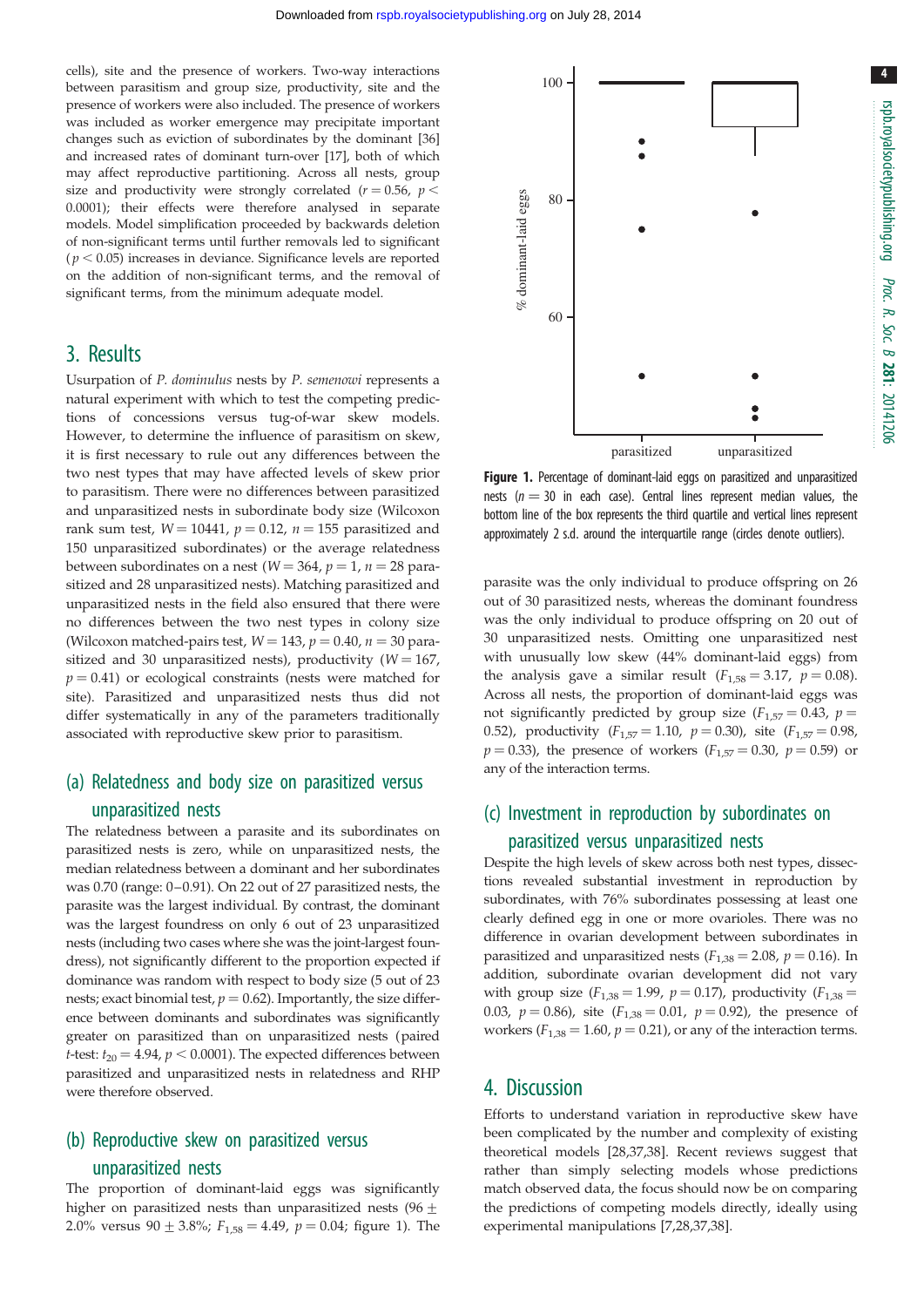% dominant-laid eggs

% dominant-laid eggs

cells), site and the presence of workers. Two-way interactions between parasitism and group size, productivity, site and the presence of workers were also included. The presence of workers was included as worker emergence may precipitate important changes such as eviction of subordinates by the dominant [\[36\]](#page-7-0) and increased rates of dominant turn-over [\[17\]](#page-7-0), both of which may affect reproductive partitioning. Across all nests, group size and productivity were strongly correlated ( $r = 0.56$ ,  $p <$ 0.0001); their effects were therefore analysed in separate models. Model simplification proceeded by backwards deletion of non-significant terms until further removals led to significant  $(p < 0.05)$  increases in deviance. Significance levels are reported on the addition of non-significant terms, and the removal of significant terms, from the minimum adequate model.

# 3. Results

Usurpation of P. dominulus nests by P. semenowi represents a natural experiment with which to test the competing predictions of concessions versus tug-of-war skew models. However, to determine the influence of parasitism on skew, it is first necessary to rule out any differences between the two nest types that may have affected levels of skew prior to parasitism. There were no differences between parasitized and unparasitized nests in subordinate body size (Wilcoxon rank sum test,  $W = 10441$ ,  $p = 0.12$ ,  $n = 155$  parasitized and 150 unparasitized subordinates) or the average relatedness between subordinates on a nest ( $W = 364$ ,  $p = 1$ ,  $n = 28$  parasitized and 28 unparasitized nests). Matching parasitized and unparasitized nests in the field also ensured that there were no differences between the two nest types in colony size (Wilcoxon matched-pairs test,  $W = 143$ ,  $p = 0.40$ ,  $n = 30$  parasitized and 30 unparasitized nests), productivity ( $W = 167$ ,  $p = 0.41$ ) or ecological constraints (nests were matched for site). Parasitized and unparasitized nests thus did not differ systematically in any of the parameters traditionally associated with reproductive skew prior to parasitism.

# (a) Relatedness and body size on parasitized versus unparasitized nests

The relatedness between a parasite and its subordinates on parasitized nests is zero, while on unparasitized nests, the median relatedness between a dominant and her subordinates was 0.70 (range: 0–0.91). On 22 out of 27 parasitized nests, the parasite was the largest individual. By contrast, the dominant was the largest foundress on only 6 out of 23 unparasitized nests (including two cases where she was the joint-largest foundress), not significantly different to the proportion expected if dominance was random with respect to body size (5 out of 23 nests; exact binomial test,  $p = 0.62$ ). Importantly, the size difference between dominants and subordinates was significantly greater on parasitized than on unparasitized nests (paired *t*-test:  $t_{20} = 4.94$ ,  $p < 0.0001$ ). The expected differences between parasitized and unparasitized nests in relatedness and RHP were therefore observed.

# (b) Reproductive skew on parasitized versus

#### unparasitized nests

The proportion of dominant-laid eggs was significantly higher on parasitized nests than unparasitized nests (96 $\pm$ 2.0% versus 90  $\pm$  3.8%; F<sub>1,58</sub> = 4.49, p = 0.04; figure 1). The

parasitized unparasitized Figure 1. Percentage of dominant-laid eggs on parasitized and unparasitized nests ( $n = 30$  in each case). Central lines represent median values, the bottom line of the box represents the third quartile and vertical lines represent approximately 2 s.d. around the interquartile range (circles denote outliers).

parasite was the only individual to produce offspring on 26 out of 30 parasitized nests, whereas the dominant foundress was the only individual to produce offspring on 20 out of 30 unparasitized nests. Omitting one unparasitized nest with unusually low skew (44% dominant-laid eggs) from the analysis gave a similar result  $(F_{1,58} = 3.17, p = 0.08)$ . Across all nests, the proportion of dominant-laid eggs was not significantly predicted by group size ( $F_{1,57} = 0.43$ ,  $p =$ 0.52), productivity  $(F_{1,57} = 1.10, p = 0.30)$ , site  $(F_{1,57} = 0.98,$  $p = 0.33$ ), the presence of workers ( $F_{1,57} = 0.30$ ,  $p = 0.59$ ) or any of the interaction terms.

# (c) Investment in reproduction by subordinates on parasitized versus unparasitized nests

Despite the high levels of skew across both nest types, dissections revealed substantial investment in reproduction by subordinates, with 76% subordinates possessing at least one clearly defined egg in one or more ovarioles. There was no difference in ovarian development between subordinates in parasitized and unparasitized nests ( $F_{1,38} = 2.08$ ,  $p = 0.16$ ). In addition, subordinate ovarian development did not vary with group size  $(F_{1,38} = 1.99, p = 0.17)$ , productivity  $(F_{1,38} =$ 0.03,  $p = 0.86$ ), site ( $F_{1,38} = 0.01$ ,  $p = 0.92$ ), the presence of workers ( $F_{1,38} = 1.60$ ,  $p = 0.21$ ), or any of the interaction terms.

### 4. Discussion

Efforts to understand variation in reproductive skew have been complicated by the number and complexity of existing theoretical models [\[28](#page-7-0),[37,](#page-7-0)[38\]](#page-8-0). Recent reviews suggest that rather than simply selecting models whose predictions match observed data, the focus should now be on comparing the predictions of competing models directly, ideally using experimental manipulations [[7](#page-7-0),[28,37,](#page-7-0)[38](#page-8-0)].

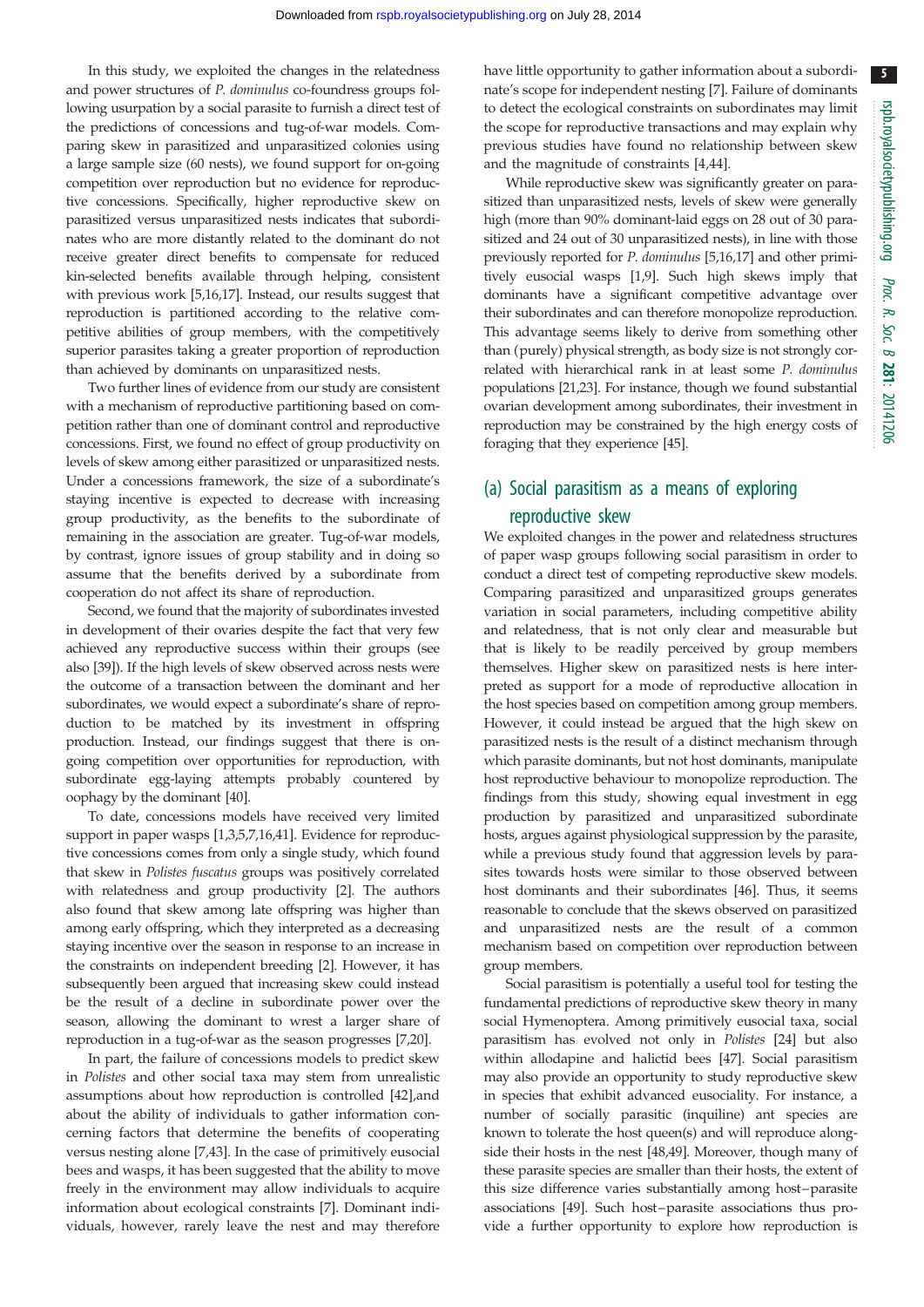5

In this study, we exploited the changes in the relatedness and power structures of P. dominulus co-foundress groups following usurpation by a social parasite to furnish a direct test of the predictions of concessions and tug-of-war models. Comparing skew in parasitized and unparasitized colonies using a large sample size (60 nests), we found support for on-going competition over reproduction but no evidence for reproductive concessions. Specifically, higher reproductive skew on parasitized versus unparasitized nests indicates that subordinates who are more distantly related to the dominant do not receive greater direct benefits to compensate for reduced kin-selected benefits available through helping, consistent with previous work [[5,16,17\]](#page-7-0). Instead, our results suggest that reproduction is partitioned according to the relative competitive abilities of group members, with the competitively superior parasites taking a greater proportion of reproduction than achieved by dominants on unparasitized nests.

Two further lines of evidence from our study are consistent with a mechanism of reproductive partitioning based on competition rather than one of dominant control and reproductive concessions. First, we found no effect of group productivity on levels of skew among either parasitized or unparasitized nests. Under a concessions framework, the size of a subordinate's staying incentive is expected to decrease with increasing group productivity, as the benefits to the subordinate of remaining in the association are greater. Tug-of-war models, by contrast, ignore issues of group stability and in doing so assume that the benefits derived by a subordinate from cooperation do not affect its share of reproduction.

Second, we found that the majority of subordinates invested in development of their ovaries despite the fact that very few achieved any reproductive success within their groups (see also [\[39\]](#page-8-0)). If the high levels of skew observed across nests were the outcome of a transaction between the dominant and her subordinates, we would expect a subordinate's share of reproduction to be matched by its investment in offspring production. Instead, our findings suggest that there is ongoing competition over opportunities for reproduction, with subordinate egg-laying attempts probably countered by oophagy by the dominant [\[40\]](#page-8-0).

To date, concessions models have received very limited support in paper wasps [\[1,3](#page-7-0),[5,7,16](#page-7-0),[41](#page-8-0)]. Evidence for reproductive concessions comes from only a single study, which found that skew in Polistes fuscatus groups was positively correlated with relatedness and group productivity [\[2\]](#page-7-0). The authors also found that skew among late offspring was higher than among early offspring, which they interpreted as a decreasing staying incentive over the season in response to an increase in the constraints on independent breeding [\[2](#page-7-0)]. However, it has subsequently been argued that increasing skew could instead be the result of a decline in subordinate power over the season, allowing the dominant to wrest a larger share of reproduction in a tug-of-war as the season progresses [[7,20](#page-7-0)].

In part, the failure of concessions models to predict skew in Polistes and other social taxa may stem from unrealistic assumptions about how reproduction is controlled [\[42](#page-8-0)],and about the ability of individuals to gather information concerning factors that determine the benefits of cooperating versus nesting alone [[7](#page-7-0),[43\]](#page-8-0). In the case of primitively eusocial bees and wasps, it has been suggested that the ability to move freely in the environment may allow individuals to acquire information about ecological constraints [[7](#page-7-0)]. Dominant individuals, however, rarely leave the nest and may therefore have little opportunity to gather information about a subordinate's scope for independent nesting [[7](#page-7-0)]. Failure of dominants to detect the ecological constraints on subordinates may limit the scope for reproductive transactions and may explain why previous studies have found no relationship between skew and the magnitude of constraints [\[4,](#page-7-0)[44](#page-8-0)].

While reproductive skew was significantly greater on parasitized than unparasitized nests, levels of skew were generally high (more than 90% dominant-laid eggs on 28 out of 30 parasitized and 24 out of 30 unparasitized nests), in line with those previously reported for P. dominulus [\[5,16,17\]](#page-7-0) and other primitively eusocial wasps [\[1](#page-7-0),[9\]](#page-7-0). Such high skews imply that dominants have a significant competitive advantage over their subordinates and can therefore monopolize reproduction. This advantage seems likely to derive from something other than (purely) physical strength, as body size is not strongly correlated with hierarchical rank in at least some P. dominulus populations [[21,23](#page-7-0)]. For instance, though we found substantial ovarian development among subordinates, their investment in reproduction may be constrained by the high energy costs of foraging that they experience [\[45\]](#page-8-0).

# (a) Social parasitism as a means of exploring reproductive skew

We exploited changes in the power and relatedness structures of paper wasp groups following social parasitism in order to conduct a direct test of competing reproductive skew models. Comparing parasitized and unparasitized groups generates variation in social parameters, including competitive ability and relatedness, that is not only clear and measurable but that is likely to be readily perceived by group members themselves. Higher skew on parasitized nests is here interpreted as support for a mode of reproductive allocation in the host species based on competition among group members. However, it could instead be argued that the high skew on parasitized nests is the result of a distinct mechanism through which parasite dominants, but not host dominants, manipulate host reproductive behaviour to monopolize reproduction. The findings from this study, showing equal investment in egg production by parasitized and unparasitized subordinate hosts, argues against physiological suppression by the parasite, while a previous study found that aggression levels by parasites towards hosts were similar to those observed between host dominants and their subordinates [[46\]](#page-8-0). Thus, it seems reasonable to conclude that the skews observed on parasitized and unparasitized nests are the result of a common mechanism based on competition over reproduction between group members.

Social parasitism is potentially a useful tool for testing the fundamental predictions of reproductive skew theory in many social Hymenoptera. Among primitively eusocial taxa, social parasitism has evolved not only in Polistes [[24](#page-7-0)] but also within allodapine and halictid bees [\[47](#page-8-0)]. Social parasitism may also provide an opportunity to study reproductive skew in species that exhibit advanced eusociality. For instance, a number of socially parasitic (inquiline) ant species are known to tolerate the host queen(s) and will reproduce alongside their hosts in the nest [\[48,49\]](#page-8-0). Moreover, though many of these parasite species are smaller than their hosts, the extent of this size difference varies substantially among host–parasite associations [\[49](#page-8-0)]. Such host–parasite associations thus provide a further opportunity to explore how reproduction is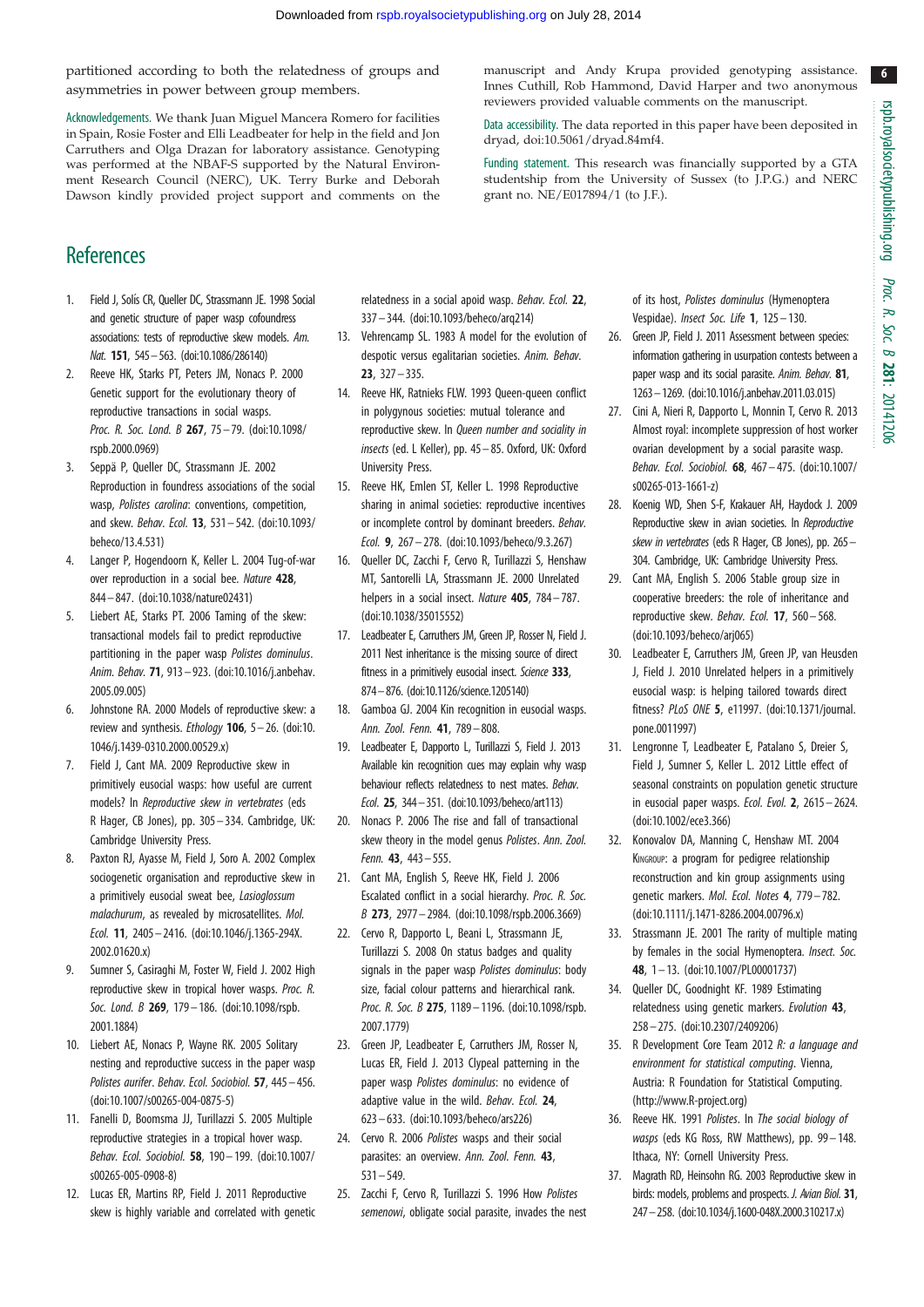6

<span id="page-7-0"></span>partitioned according to both the relatedness of groups and asymmetries in power between group members.

Acknowledgements. We thank Juan Miguel Mancera Romero for facilities in Spain, Rosie Foster and Elli Leadbeater for help in the field and Jon Carruthers and Olga Drazan for laboratory assistance. Genotyping was performed at the NBAF-S supported by the Natural Environment Research Council (NERC), UK. Terry Burke and Deborah Dawson kindly provided project support and comments on the

**References** 

- 1. Field J, Solís CR, Queller DC, Strassmann JE. 1998 Social and genetic structure of paper wasp cofoundress associations: tests of reproductive skew models. Am. Nat. 151, 545–563. ([doi:10.1086/286140](http://dx.doi.org/10.1086/286140))
- 2. Reeve HK, Starks PT, Peters JM, Nonacs P. 2000 Genetic support for the evolutionary theory of reproductive transactions in social wasps. Proc. R. Soc. Lond. B 267, 75-79. ([doi:10.1098/](http://dx.doi.org/10.1098/rspb.2000.0969) [rspb.2000.0969](http://dx.doi.org/10.1098/rspb.2000.0969))
- 3. Seppä P, Queller DC, Strassmann JE. 2002 Reproduction in foundress associations of the social wasp, Polistes carolina: conventions, competition, and skew. Behav. Ecol. 13, 531– 542. ([doi:10.1093/](http://dx.doi.org/10.1093/beheco/13.4.531) [beheco/13.4.531\)](http://dx.doi.org/10.1093/beheco/13.4.531)
- 4. Langer P, Hogendoorn K, Keller L. 2004 Tug-of-war over reproduction in a social bee. Nature 428, 844– 847. ([doi:10.1038/nature02431](http://dx.doi.org/10.1038/nature02431))
- 5. Liebert AE, Starks PT. 2006 Taming of the skew: transactional models fail to predict reproductive partitioning in the paper wasp Polistes dominulus. Anim. Behav. 71, 913– 923. [\(doi:10.1016/j.anbehav.](http://dx.doi.org/10.1016/j.anbehav.2005.09.005) [2005.09.005\)](http://dx.doi.org/10.1016/j.anbehav.2005.09.005)
- 6. Johnstone RA. 2000 Models of reproductive skew: a review and synthesis. *Ethology* **106**,  $5-26$ . ([doi:10.](http://dx.doi.org/10.1046/j.1439-0310.2000.00529.x) [1046/j.1439-0310.2000.00529.x](http://dx.doi.org/10.1046/j.1439-0310.2000.00529.x))
- 7. Field J, Cant MA. 2009 Reproductive skew in primitively eusocial wasps: how useful are current models? In Reproductive skew in vertebrates (eds R Hager, CB Jones), pp. 305– 334. Cambridge, UK: Cambridge University Press.
- 8. Paxton RJ, Ayasse M, Field J, Soro A. 2002 Complex sociogenetic organisation and reproductive skew in a primitively eusocial sweat bee, Lasioglossum malachurum, as revealed by microsatellites. Mol. Ecol. 11, 2405– 2416. ([doi:10.1046/j.1365-294X.](http://dx.doi.org/10.1046/j.1365-294X.2002.01620.x) [2002.01620.x\)](http://dx.doi.org/10.1046/j.1365-294X.2002.01620.x)
- 9. Sumner S, Casiraghi M, Foster W, Field J. 2002 High reproductive skew in tropical hover wasps. Proc. R. Soc. Lond. B 269, 179-186. [\(doi:10.1098/rspb.](http://dx.doi.org/10.1098/rspb.2001.1884) [2001.1884\)](http://dx.doi.org/10.1098/rspb.2001.1884)
- 10. Liebert AE, Nonacs P, Wayne RK. 2005 Solitary nesting and reproductive success in the paper wasp Polistes aurifer. Behav. Ecol. Sociobiol. 57, 445– 456. [\(doi:10.1007/s00265-004-0875-5\)](http://dx.doi.org/10.1007/s00265-004-0875-5)
- 11. Fanelli D, Boomsma JJ, Turillazzi S. 2005 Multiple reproductive strategies in a tropical hover wasp. Behav. Ecol. Sociobiol. 58, 190– 199. [\(doi:10.1007/](http://dx.doi.org/10.1007/s00265-005-0908-8) [s00265-005-0908-8\)](http://dx.doi.org/10.1007/s00265-005-0908-8)
- 12. Lucas ER, Martins RP, Field J. 2011 Reproductive skew is highly variable and correlated with genetic

relatedness in a social apoid wasp. Behav. Ecol. 22, 337 – 344. [\(doi:10.1093/beheco/arq214\)](http://dx.doi.org/10.1093/beheco/arq214)

- 13. Vehrencamp SL. 1983 A model for the evolution of despotic versus egalitarian societies. Anim. Behav. 23, 327– 335.
- 14. Reeve HK, Ratnieks FLW. 1993 Queen-queen conflict in polygynous societies: mutual tolerance and reproductive skew. In Queen number and sociality in insects (ed. L Keller), pp. 45– 85. Oxford, UK: Oxford University Press.
- 15. Reeve HK, Emlen ST, Keller L. 1998 Reproductive sharing in animal societies: reproductive incentives or incomplete control by dominant breeders. Behav. Ecol. 9, 267– 278. ([doi:10.1093/beheco/9.3.267\)](http://dx.doi.org/10.1093/beheco/9.3.267)
- 16. Queller DC, Zacchi F, Cervo R, Turillazzi S, Henshaw MT, Santorelli LA, Strassmann JE. 2000 Unrelated helpers in a social insect. Nature 405, 784-787. [\(doi:10.1038/35015552\)](http://dx.doi.org/10.1038/35015552)
- 17. Leadbeater E, Carruthers JM, Green JP, Rosser N, Field J. 2011 Nest inheritance is the missing source of direct fitness in a primitively eusocial insect. Science 333, 874–876. [\(doi:10.1126/science.1205140\)](http://dx.doi.org/10.1126/science.1205140)
- 18. Gamboa GJ. 2004 Kin recognition in eusocial wasps. Ann. Zool. Fenn. 41, 789 – 808.
- 19. Leadbeater E, Dapporto L, Turillazzi S, Field J. 2013 Available kin recognition cues may explain why wasp behaviour reflects relatedness to nest mates. Behav. Ecol. 25, 344–351. ([doi:10.1093/beheco/art113\)](http://dx.doi.org/10.1093/beheco/art113)
- 20. Nonacs P. 2006 The rise and fall of transactional skew theory in the model genus Polistes. Ann. Zool. Fenn. 43, 443– 555.
- 21. Cant MA, English S, Reeve HK, Field J. 2006 Escalated conflict in a social hierarchy. Proc. R. Soc. B 273, 2977– 2984. ([doi:10.1098/rspb.2006.3669](http://dx.doi.org/10.1098/rspb.2006.3669))
- 22. Cervo R, Dapporto L, Beani L, Strassmann JE, Turillazzi S. 2008 On status badges and quality signals in the paper wasp Polistes dominulus: body size, facial colour patterns and hierarchical rank. Proc. R. Soc. B 275, 1189-1196. ([doi:10.1098/rspb.](http://dx.doi.org/10.1098/rspb.2007.1779) [2007.1779\)](http://dx.doi.org/10.1098/rspb.2007.1779)
- 23. Green JP, Leadbeater E, Carruthers JM, Rosser N, Lucas ER, Field J. 2013 Clypeal patterning in the paper wasp Polistes dominulus: no evidence of adaptive value in the wild. Behav. Ecol. 24, 623 – 633. [\(doi:10.1093/beheco/ars226\)](http://dx.doi.org/10.1093/beheco/ars226)
- 24. Cervo R. 2006 Polistes wasps and their social parasites: an overview. Ann. Zool. Fenn. 43, 531 – 549.
- 25. Zacchi F, Cervo R, Turillazzi S. 1996 How Polistes semenowi, obligate social parasite, invades the nest

manuscript and Andy Krupa provided genotyping assistance. Innes Cuthill, Rob Hammond, David Harper and two anonymous reviewers provided valuable comments on the manuscript.

Data accessibility. The data reported in this paper have been deposited in dryad, [doi:10.5061/dryad.84mf4](http://dx.doi.org/10.5061/dryad.84mf4).

Funding statement. This research was financially supported by a GTA studentship from the University of Sussex (to J.P.G.) and NERC grant no. NE/E017894/1 (to J.F.).

> of its host, Polistes dominulus (Hymenoptera Vespidae). *Insect Soc. Life* **1**, 125 - 130.

- 26. Green JP, Field J. 2011 Assessment between species: information gathering in usurpation contests between a paper wasp and its social parasite. Anim. Behav. 81, 1263–1269. [\(doi:10.1016/j.anbehav.2011.03.015](http://dx.doi.org/10.1016/j.anbehav.2011.03.015))
- 27. Cini A, Nieri R, Dapporto L, Monnin T, Cervo R. 2013 Almost royal: incomplete suppression of host worker ovarian development by a social parasite wasp. Behav. Ecol. Sociobiol. 68, 467– 475. ([doi:10.1007/](http://dx.doi.org/10.1007/s00265-013-1661-z) [s00265-013-1661-z\)](http://dx.doi.org/10.1007/s00265-013-1661-z)
- 28. Koenig WD, Shen S-F, Krakauer AH, Haydock J. 2009 Reproductive skew in avian societies. In Reproductive skew in vertebrates (eds R Hager, CB Jones), pp. 265 -304. Cambridge, UK: Cambridge University Press.
- 29. Cant MA, English S. 2006 Stable group size in cooperative breeders: the role of inheritance and reproductive skew. Behav. Ecol. 17, 560-568. ([doi:10.1093/beheco/arj065\)](http://dx.doi.org/10.1093/beheco/arj065)
- 30. Leadbeater E, Carruthers JM, Green JP, van Heusden J, Field J. 2010 Unrelated helpers in a primitively eusocial wasp: is helping tailored towards direct fitness? PLoS ONE 5, e11997. [\(doi:10.1371/journal.](http://dx.doi.org/10.1371/journal.pone.0011997) [pone.0011997\)](http://dx.doi.org/10.1371/journal.pone.0011997)
- 31. Lengronne T, Leadbeater E, Patalano S, Dreier S, Field J, Sumner S, Keller L. 2012 Little effect of seasonal constraints on population genetic structure in eusocial paper wasps. Ecol. Evol. 2, 2615 – 2624. ([doi:10.1002/ece3.366\)](http://dx.doi.org/10.1002/ece3.366)
- 32. Konovalov DA, Manning C, Henshaw MT. 2004 KINGROUP: a program for pedigree relationship reconstruction and kin group assignments using genetic markers. Mol. Ecol. Notes 4, 779– 782. ([doi:10.1111/j.1471-8286.2004.00796.x\)](http://dx.doi.org/10.1111/j.1471-8286.2004.00796.x)
- 33. Strassmann JE. 2001 The rarity of multiple mating by females in the social Hymenoptera. Insect. Soc. 48, 1 – 13. [\(doi:10.1007/PL00001737](http://dx.doi.org/10.1007/PL00001737))
- 34. Queller DC, Goodnight KF. 1989 Estimating relatedness using genetic markers. Evolution 43, 258– 275. [\(doi:10.2307/2409206](http://dx.doi.org/10.2307/2409206))
- 35. R Development Core Team 2012 R: a language and environment for statistical computing. Vienna, Austria: R Foundation for Statistical Computing. ([http://www.R-project.org\)](http://www.R-project.org))
- 36. Reeve HK. 1991 Polistes. In The social biology of wasps (eds KG Ross, RW Matthews), pp. 99-148. Ithaca, NY: Cornell University Press.
- 37. Magrath RD, Heinsohn RG. 2003 Reproductive skew in birds: models, problems and prospects. J. Avian Biol. 31, 247–258. [\(doi:10.1034/j.1600-048X.2000.310217.x](http://dx.doi.org/10.1034/j.1600-048X.2000.310217.x))